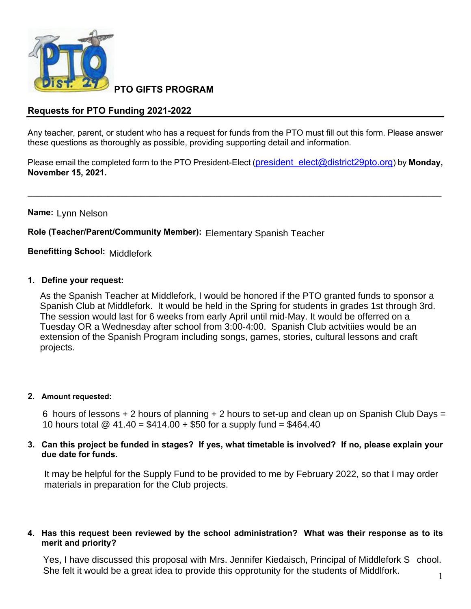

**PTO GIFTS PROGRAM**

# **Requests for PTO Funding 2021-2022**

Any teacher, parent, or student who has a request for funds from the PTO must fill out this form. Please answer these questions as thoroughly as possible, providing supporting detail and information.

Please email the completed form to the PTO President-Elect (president elect@district29pto.org) by **Monday**, **November 15, 2021.**

**\_\_\_\_\_\_\_\_\_\_\_\_\_\_\_\_\_\_\_\_\_\_\_\_\_\_\_\_\_\_\_\_\_\_\_\_\_\_\_\_\_\_\_\_\_\_\_\_\_\_\_\_\_\_\_\_\_\_\_\_\_\_\_\_\_\_\_\_\_\_\_\_\_\_\_\_\_\_\_\_\_\_\_\_\_\_\_\_**

**Name:**  Lynn Nelson

**Role (Teacher/Parent/Community Member):** Elementary Spanish Teacher<br>**Benefitting School:** <sub>Middlefork</sub>

**Benefitting School:**

#### **1. Define your request:**

As the Spanish Teacher at Middlefork, I would be honored if the PTO granted funds to sponsor a Spanish Club at Middlefork. It would be held in the Spring for students in grades 1st through 3rd. The session would last for 6 weeks from early April until mid-May. It would be offerred on a Tuesday OR a Wednesday after school from 3:00-4:00. Spanish Club actvitiies would be an extension of the Spanish Program including songs, games, stories, cultural lessons and craft projects.

#### **2. Amount requested:**

6 hours of lessons + 2 hours of planning + 2 hours to set-up and clean up on Spanish Club Days = 10 hours total  $\textcircled{2}$  41.40 = \$414.00 + \$50 for a supply fund = \$464.40

#### 3. Can this project be funded in stages? If yes, what timetable is involved? If no, please explain your **due date for funds.**

It may be helpful for the Supply Fund to be provided to me by February 2022, so that I may order materials in preparation for the Club projects.

### **4. Has this request been reviewed by the school administration? What was their response as to its merit and priority?**

Yes, I have discussed this proposal with Mrs. Jennifer Kiedaisch, Principal of Middlefork S chool. She felt it would be a great idea to provide this opprotunity for the students of Middlfork.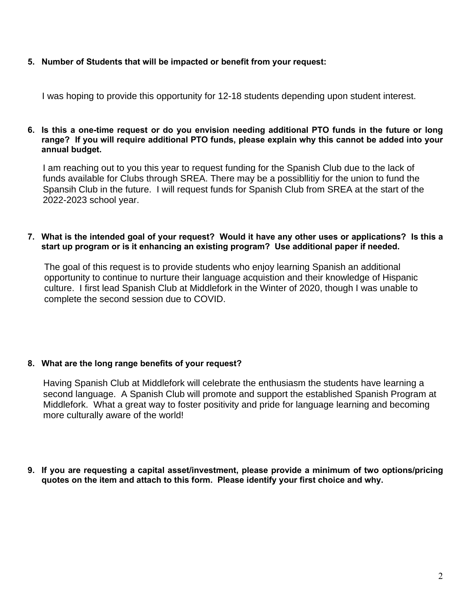## **5. Number of Students that will be impacted or benefit from your request:**

I was hoping to provide this opportunity for 12-18 students depending upon student interest.

#### 6. Is this a one-time request or do you envision needing additional PTO funds in the future or long **range? If you will require additional PTO funds, please explain why this cannot be added into your annual budget.**

I am reaching out to you this year to request funding for the Spanish Club due to the lack of funds available for Clubs through SREA. There may be a possibllitiy for the union to fund the Spansih Club in the future. I will request funds for Spanish Club from SREA at the start of the 2022-2023 school year.

### 7. What is the intended goal of your request? Would it have any other uses or applications? Is this a **start up program or is it enhancing an existing program? Use additional paper if needed.**

The goal of this request is to provide students who enjoy learning Spanish an additional opportunity to continue to nurture their language acquistion and their knowledge of Hispanic culture. I first lead Spanish Club at Middlefork in the Winter of 2020, though I was unable to complete the second session due to COVID.

# **8. What are the long range benefits of your request?**

Having Spanish Club at Middlefork will celebrate the enthusiasm the students have learning a second language. A Spanish Club will promote and support the established Spanish Program at Middlefork. What a great way to foster positivity and pride for language learning and becoming more culturally aware of the world!

**9. If you are requesting a capital asset/investment, please provide a minimum of two options/pricing quotes on the item and attach to this form. Please identify your first choice and why.**